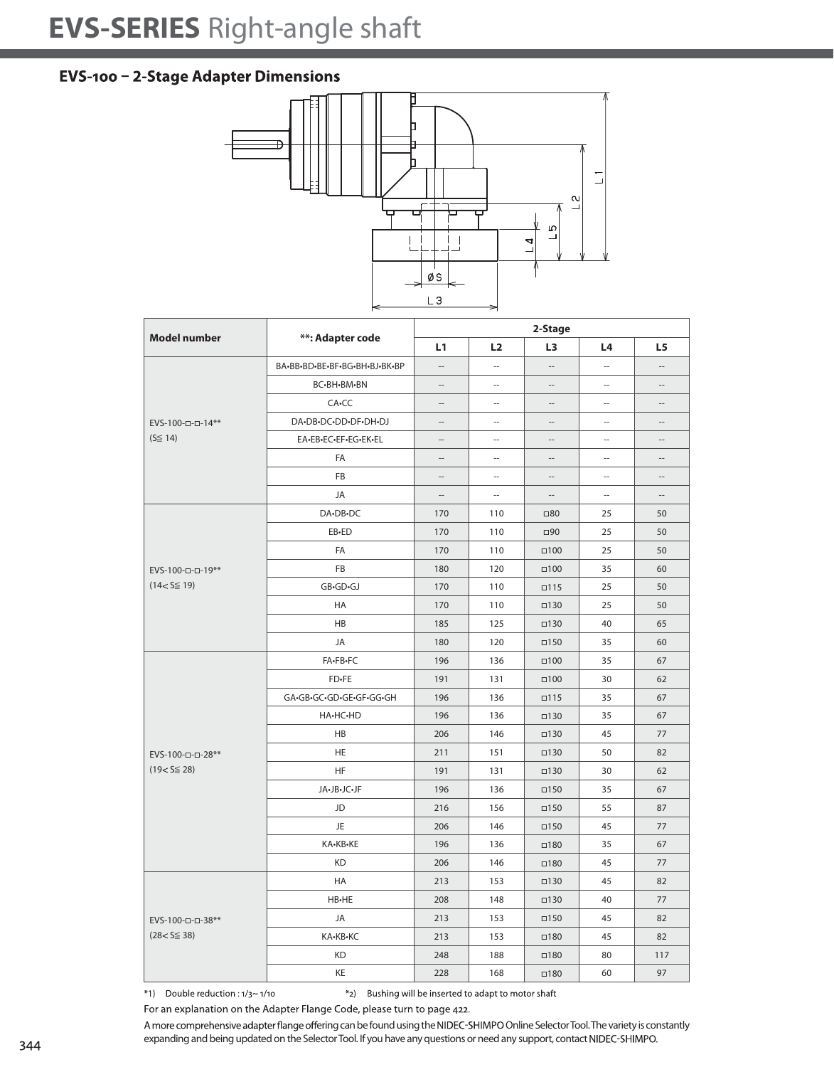## **EVS-SERIES** Right-angle shaft

## EVS-100 - 2-Stage Adapter Dimensions



| <b>Model number</b>                   | **: Adapter code              | 2-Stage                  |                |                          |                          |                   |  |
|---------------------------------------|-------------------------------|--------------------------|----------------|--------------------------|--------------------------|-------------------|--|
|                                       |                               | L1                       | L <sub>2</sub> | L3                       | L4                       | L5                |  |
| EVS-100-0-0-14**<br>$(S \leq 14)$     | BA-BB-BD-BE-BF-BG-BH-BJ-BK-BP | $\overline{a}$           | $\overline{a}$ |                          | $\sim$                   | $\overline{a}$    |  |
|                                       | BC-BH-BM-BN                   | $\overline{a}$           | $\overline{a}$ |                          | $\overline{\phantom{a}}$ | $\overline{a}$    |  |
|                                       | CA-CC                         | $\overline{a}$           | ш.             | $\sim$                   | $\overline{\phantom{a}}$ | $\overline{a}$    |  |
|                                       | DA-DB-DC-DD-DF-DH-DJ          | $\overline{\phantom{a}}$ | $\overline{a}$ | $\overline{\phantom{a}}$ | $\sim$                   | $\overline{a}$    |  |
|                                       | EA-EB-EC-EF-EG-EK-EL          | --                       | Ξ.             | $\overline{\phantom{a}}$ | $\sim$                   | $\qquad \qquad -$ |  |
|                                       | FA                            | --                       | ш.             | $\overline{\phantom{a}}$ | $\sim$                   | $-$               |  |
|                                       | <b>FB</b>                     | --                       | --             | $\overline{\phantom{m}}$ | $\overline{a}$           | $\qquad \qquad -$ |  |
|                                       | JA                            | $\overline{\phantom{a}}$ | $\overline{a}$ | $\sim$                   | $\sim$                   | $-$               |  |
| EVS-100-0-0-19**<br>$(14 < S \le 19)$ | DA-DB-DC                      | 170                      | 110            | $\square 80$             | 25                       | 50                |  |
|                                       | EB-ED                         | 170                      | 110            | $\Box$ 90                | 25                       | 50                |  |
|                                       | FA                            | 170                      | 110            | $\square$ 100            | 25                       | 50                |  |
|                                       | <b>FB</b>                     | 180                      | 120            | $\square$ 100            | 35                       | 60                |  |
|                                       | GB.GD.GJ                      | 170                      | 110            | $\Box 115$               | 25                       | 50                |  |
|                                       | HA                            | 170                      | 110            | $\square$ 130            | 25                       | 50                |  |
|                                       | <b>HB</b>                     | 185                      | 125            | $\square$ 130            | 40                       | 65                |  |
|                                       | <b>JA</b>                     | 180                      | 120            | $\square$ 150            | 35                       | 60                |  |
| EVS-100-0-0-28**<br>$(19 < S \le 28)$ | FA-FB-FC                      | 196                      | 136            | $\Box 100$               | 35                       | 67                |  |
|                                       | FD-FE                         | 191                      | 131            | $\Box 100$               | 30                       | 62                |  |
|                                       | GA.GB.GC.GD.GE.GF.GG.GH       | 196                      | 136            | $\square$ 115            | 35                       | 67                |  |
|                                       | HA-HC-HD                      | 196                      | 136            | $\square$ 130            | 35                       | 67                |  |
|                                       | <b>HB</b>                     | 206                      | 146            | $\square$ 130            | 45                       | 77                |  |
|                                       | HE                            | 211                      | 151            | $\square$ 130            | 50                       | 82                |  |
|                                       | HF                            | 191                      | 131            | $\square$ 130            | 30                       | 62                |  |
|                                       | JA.JB.JC.JF                   | 196                      | 136            | $\square$ 150            | 35                       | 67                |  |
|                                       | JD                            | 216                      | 156            | $\square$ 150            | 55                       | 87                |  |
|                                       | JE.                           | 206                      | 146            | $\Box$ 150               | 45                       | 77                |  |
|                                       | KA-KB-KE                      | 196                      | 136            | $\square$ 180            | 35                       | 67                |  |
|                                       | <b>KD</b>                     | 206                      | 146            | $\square$ 180            | 45                       | 77                |  |
| EVS-100-0-0-38**<br>$(28 < S \le 38)$ | <b>HA</b>                     | 213                      | 153            | $\square$ 130            | 45                       | 82                |  |
|                                       | HB-HE                         | 208                      | 148            | $\square$ 130            | 40                       | 77                |  |
|                                       | JA                            | 213                      | 153            | $\square$ 150            | 45                       | 82                |  |
|                                       | KA-KB-KC                      | 213                      | 153            | $\square$ 180            | 45                       | 82                |  |
|                                       | <b>KD</b>                     | 248                      | 188            | $\square$ 180            | 80                       | 117               |  |
|                                       | KE                            | 228                      | 168            | $\square$ 180            | 60                       | 97                |  |

\*1) Double reduction :  $1/3$  ~  $1/10$ \*2) Bushing will be inserted to adapt to motor shaft

For an explanation on the Adapter Flange Code, please turn to page 422.

A more comprehensive adapter flange offering can be found using the NIDEC-SHIMPO Online Selector Tool. The variety is constantly expanding and being updated on the Selector Tool. If you have any questions or need any support, contact NIDEC-SHIMPO.